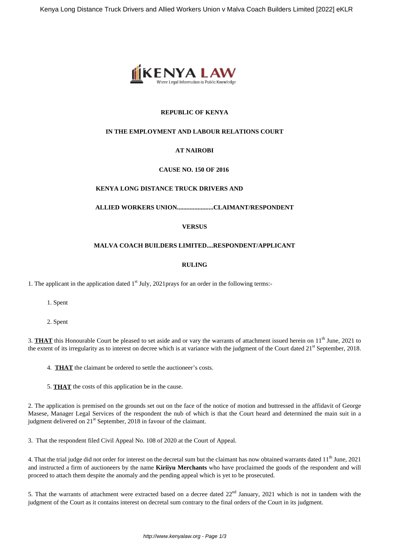

# **REPUBLIC OF KENYA**

# **IN THE EMPLOYMENT AND LABOUR RELATIONS COURT**

# **AT NAIROBI**

# **CAUSE NO. 150 OF 2016**

#### **KENYA LONG DISTANCE TRUCK DRIVERS AND**

# **ALLIED WORKERS UNION.......................CLAIMANT/RESPONDENT**

# **VERSUS**

#### **MALVA COACH BUILDERS LIMITED....RESPONDENT/APPLICANT**

#### **RULING**

1. The applicant in the application dated  $1<sup>st</sup>$  July, 2021prays for an order in the following terms:-

1. Spent

2. Spent

3. **THAT** this Honourable Court be pleased to set aside and or vary the warrants of attachment issued herein on 11<sup>th</sup> June, 2021 to the extent of its irregularity as to interest on decree which is at variance with the judgment of the Court dated  $21<sup>st</sup>$  September, 2018.

4. **THAT** the claimant be ordered to settle the auctioneer's costs.

5. **THAT** the costs of this application be in the cause.

2. The application is premised on the grounds set out on the face of the notice of motion and buttressed in the affidavit of George Masese, Manager Legal Services of the respondent the nub of which is that the Court heard and determined the main suit in a judgment delivered on 21<sup>st</sup> September, 2018 in favour of the claimant.

3. That the respondent filed Civil Appeal No. 108 of 2020 at the Court of Appeal.

4. That the trial judge did not order for interest on the decretal sum but the claimant has now obtained warrants dated 11<sup>th</sup> June, 2021 and instructed a firm of auctioneers by the name **Kiriiyu Merchants** who have proclaimed the goods of the respondent and will proceed to attach them despite the anomaly and the pending appeal which is yet to be prosecuted.

5. That the warrants of attachment were extracted based on a decree dated 22<sup>nd</sup> January, 2021 which is not in tandem with the judgment of the Court as it contains interest on decretal sum contrary to the final orders of the Court in its judgment.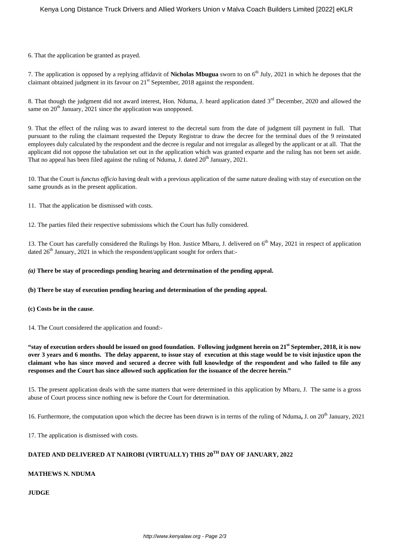6. That the application be granted as prayed.

7. The application is opposed by a replying affidavit of **Nicholas Mbugua** sworn to on 6<sup>th</sup> July, 2021 in which he deposes that the claimant obtained judgment in its favour on 21st September, 2018 against the respondent.

8. That though the judgment did not award interest, Hon. Nduma, J. heard application dated 3<sup>rd</sup> December, 2020 and allowed the same on 20<sup>th</sup> January, 2021 since the application was unopposed.

9. That the effect of the ruling was to award interest to the decretal sum from the date of judgment till payment in full. That pursuant to the ruling the claimant requested the Deputy Registrar to draw the decree for the terminal dues of the 9 reinstated employees duly calculated by the respondent and the decree is regular and not irregular as alleged by the applicant or at all. That the applicant did not oppose the tabulation set out in the application which was granted exparte and the ruling has not been set aside. That no appeal has been filed against the ruling of Nduma, J. dated 20<sup>th</sup> January, 2021.

10. That the Court is *functus officio* having dealt with a previous application of the same nature dealing with stay of execution on the same grounds as in the present application.

11. That the application be dismissed with costs.

12. The parties filed their respective submissions which the Court has fully considered.

13. The Court has carefully considered the Rulings by Hon. Justice Mbaru, J. delivered on 6<sup>th</sup> May, 2021 in respect of application dated  $26<sup>th</sup>$  January, 2021 in which the respondent/applicant sought for orders that:-

### *(a)* **There be stay of proceedings pending hearing and determination of the pending appeal.**

#### **(b) There be stay of execution pending hearing and determination of the pending appeal.**

#### **(c) Costs be in the cause**.

14. The Court considered the application and found:-

**"stay of execution orders should be issued on good foundation. Following judgment herein on 21st September, 2018, it is now over 3 years and 6 months. The delay apparent, to issue stay of execution at this stage would be to visit injustice upon the claimant who has since moved and secured a decree with full knowledge of the respondent and who failed to file any responses and the Court has since allowed such application for the issuance of the decree herein."**

15. The present application deals with the same matters that were determined in this application by Mbaru, J. The same is a gross abuse of Court process since nothing new is before the Court for determination.

16. Furthermore, the computation upon which the decree has been drawn is in terms of the ruling of Nduma, J. on 20<sup>th</sup> January, 2021

17. The application is dismissed with costs.

# **DATED AND DELIVERED AT NAIROBI (VIRTUALLY) THIS 20TH DAY OF JANUARY, 2022**

# **MATHEWS N. NDUMA**

# **JUDGE**